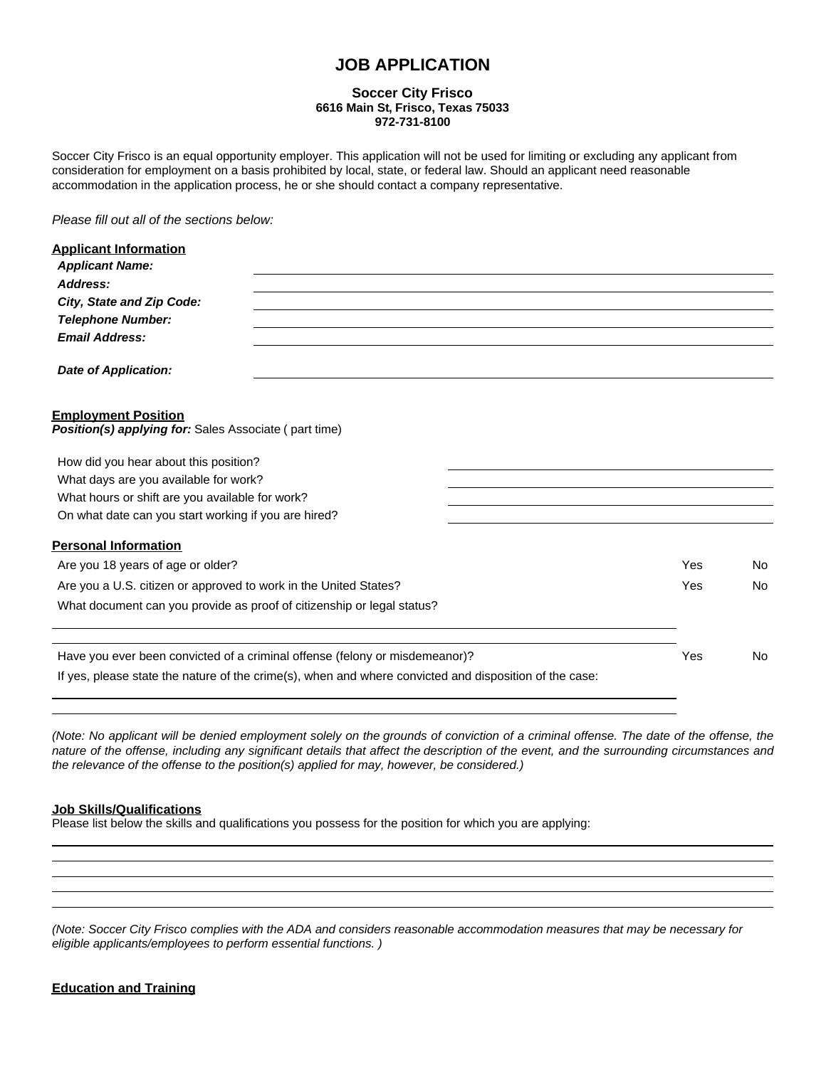## **JOB APPLICATION**

#### **Soccer City Frisco 6616 Main St, Frisco, Texas 75033 972-731-8100**

Soccer City Frisco is an equal opportunity employer. This application will not be used for limiting or excluding any applicant from consideration for employment on a basis prohibited by local, state, or federal law. Should an applicant need reasonable accommodation in the application process, he or she should contact a company representative.

*Please fill out all of the sections below:*

| <b>Applicant Information</b>                                                                           |     |     |
|--------------------------------------------------------------------------------------------------------|-----|-----|
| <b>Applicant Name:</b>                                                                                 |     |     |
| Address:                                                                                               |     |     |
| City, State and Zip Code:                                                                              |     |     |
| <b>Telephone Number:</b>                                                                               |     |     |
| <b>Email Address:</b>                                                                                  |     |     |
| <b>Date of Application:</b>                                                                            |     |     |
| <b>Employment Position</b><br><b>Position(s) applying for:</b> Sales Associate (part time)             |     |     |
| How did you hear about this position?                                                                  |     |     |
| What days are you available for work?                                                                  |     |     |
| What hours or shift are you available for work?                                                        |     |     |
| On what date can you start working if you are hired?                                                   |     |     |
| <b>Personal Information</b>                                                                            |     |     |
| Are you 18 years of age or older?                                                                      | Yes | No. |
| Are you a U.S. citizen or approved to work in the United States?                                       | Yes | No  |
| What document can you provide as proof of citizenship or legal status?                                 |     |     |
|                                                                                                        |     |     |
| Have you ever been convicted of a criminal offense (felony or misdemeanor)?                            | Yes | No. |
| If yes, please state the nature of the crime(s), when and where convicted and disposition of the case: |     |     |
|                                                                                                        |     |     |

(Note: No applicant will be denied employment solely on the grounds of conviction of a criminal offense. The date of the offense, the nature of the offense, including any significant details that affect the description of the event, and the surrounding circumstances and *the relevance of the offense to the position(s) applied for may, however, be considered.)*

### **Job Skills/Qualifications**

Please list below the skills and qualifications you possess for the position for which you are applying:

(Note: Soccer City Frisco complies with the ADA and considers reasonable accommodation measures that may be necessary for *eligible applicants/employees to perform essential functions. )*

### **Education and Training**